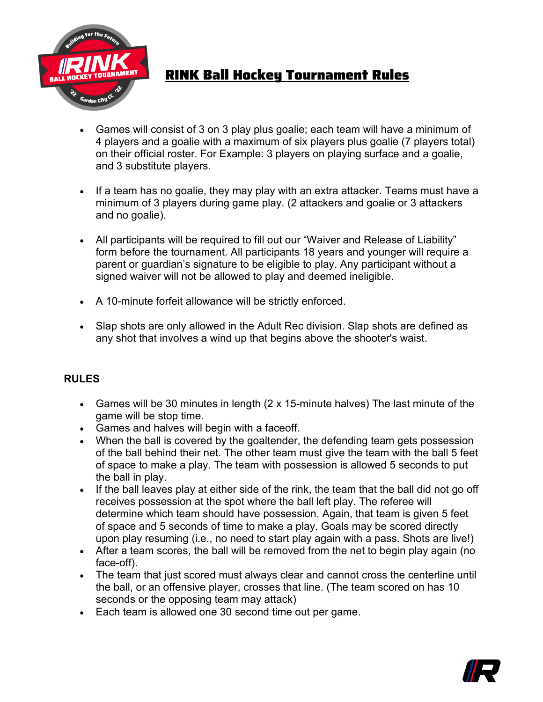

## RINK Ball Hockey Tournament Rules

- Games will consist of 3 on 3 play plus goalie; each team will have a minimum of 4 players and a goalie with a maximum of six players plus goalie (7 players total) on their official roster. For Example: 3 players on playing surface and a goalie, and 3 substitute players.
- If a team has no goalie, they may play with an extra attacker. Teams must have a minimum of 3 players during game play. (2 attackers and goalie or 3 attackers and no goalie).
- All participants will be required to fill out our "Waiver and Release of Liability" form before the tournament. All participants 18 years and younger will require a parent or guardian's signature to be eligible to play. Any participant without a signed waiver will not be allowed to play and deemed ineligible.
- A 10-minute forfeit allowance will be strictly enforced.
- Slap shots are only allowed in the Adult Rec division. Slap shots are defined as any shot that involves a wind up that begins above the shooter's waist.

## **RULES**

- Games will be 30 minutes in length (2 x 15-minute halves) The last minute of the game will be stop time.
- Games and halves will begin with a faceoff.
- When the ball is covered by the goaltender, the defending team gets possession of the ball behind their net. The other team must give the team with the ball 5 feet of space to make a play. The team with possession is allowed 5 seconds to put the ball in play.
- If the ball leaves play at either side of the rink, the team that the ball did not go off receives possession at the spot where the ball left play. The referee will determine which team should have possession. Again, that team is given 5 feet of space and 5 seconds of time to make a play. Goals may be scored directly upon play resuming (i.e., no need to start play again with a pass. Shots are live!)
- After a team scores, the ball will be removed from the net to begin play again (no face-off).
- The team that just scored must always clear and cannot cross the centerline until the ball, or an offensive player, crosses that line. (The team scored on has 10 seconds or the opposing team may attack)
- Each team is allowed one 30 second time out per game.

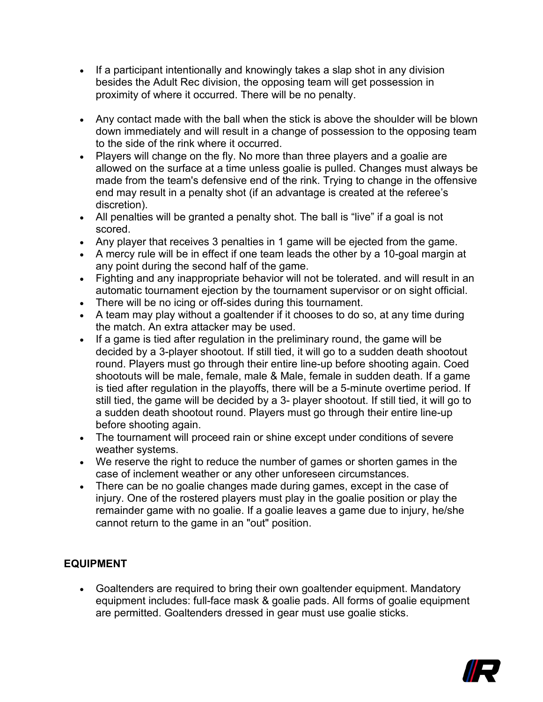- If a participant intentionally and knowingly takes a slap shot in any division besides the Adult Rec division, the opposing team will get possession in proximity of where it occurred. There will be no penalty.
- Any contact made with the ball when the stick is above the shoulder will be blown down immediately and will result in a change of possession to the opposing team to the side of the rink where it occurred.
- Players will change on the fly. No more than three players and a goalie are allowed on the surface at a time unless goalie is pulled. Changes must always be made from the team's defensive end of the rink. Trying to change in the offensive end may result in a penalty shot (if an advantage is created at the referee's discretion).
- All penalties will be granted a penalty shot. The ball is "live" if a goal is not scored.
- Any player that receives 3 penalties in 1 game will be ejected from the game.
- A mercy rule will be in effect if one team leads the other by a 10-goal margin at any point during the second half of the game.
- Fighting and any inappropriate behavior will not be tolerated. and will result in an automatic tournament ejection by the tournament supervisor or on sight official.
- There will be no icing or off-sides during this tournament.
- A team may play without a goaltender if it chooses to do so, at any time during the match. An extra attacker may be used.
- If a game is tied after regulation in the preliminary round, the game will be decided by a 3-player shootout. If still tied, it will go to a sudden death shootout round. Players must go through their entire line-up before shooting again. Coed shootouts will be male, female, male & Male, female in sudden death. If a game is tied after regulation in the playoffs, there will be a 5-minute overtime period. If still tied, the game will be decided by a 3- player shootout. If still tied, it will go to a sudden death shootout round. Players must go through their entire line-up before shooting again.
- The tournament will proceed rain or shine except under conditions of severe weather systems.
- We reserve the right to reduce the number of games or shorten games in the case of inclement weather or any other unforeseen circumstances.
- There can be no goalie changes made during games, except in the case of injury. One of the rostered players must play in the goalie position or play the remainder game with no goalie. If a goalie leaves a game due to injury, he/she cannot return to the game in an "out" position.

## **EQUIPMENT**

• Goaltenders are required to bring their own goaltender equipment. Mandatory equipment includes: full-face mask & goalie pads. All forms of goalie equipment are permitted. Goaltenders dressed in gear must use goalie sticks.